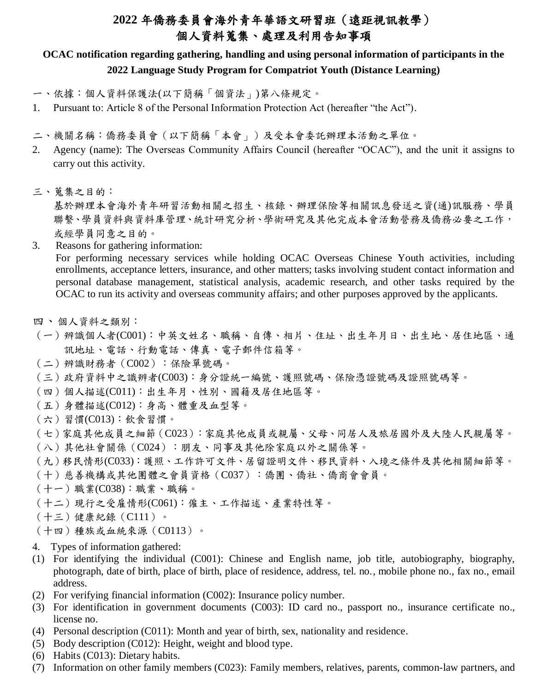## **2022** 年僑務委員會海外青年華語文研習班(遠距視訊教學) 個人資料蒐集、處理及利用告知事項

## **OCAC notification regarding gathering, handling and using personal information of participants in the 2022 Language Study Program for Compatriot Youth (Distance Learning)**

- 一、依據:個人資料保護法(以下簡稱「個資法」)第八條規定。
- 1. Pursuant to: Article 8 of the Personal Information Protection Act (hereafter "the Act").
- 二、機關名稱:僑務委員會(以下簡稱「本會」)及受本會委託辦理本活動之單位。
- 2. Agency (name): The Overseas Community Affairs Council (hereafter "OCAC"), and the unit it assigns to carry out this activity.
- 三、蒐集之目的:

基於辦理本會海外青年研習活動相關之招生、核錄、辦理保險等相關訊息發送之資(通)訊服務、學員 聯繫、學員資料與資料庫管理、統計研究分析、學術研究及其他完成本會活動營務及僑務必要之工作, 或經學員同意之目的。

3. Reasons for gathering information: For performing necessary services while holding OCAC Overseas Chinese Youth activities, including enrollments, acceptance letters, insurance, and other matters; tasks involving student contact information and personal database management, statistical analysis, academic research, and other tasks required by the OCAC to run its activity and overseas community affairs; and other purposes approved by the applicants.

四、個人資料之類別:

- (一)辨識個人者(C001):中英文姓名、職稱、自傳、相片、住址、出生年月日、出生地、居住地區、通 訊地址、電話、行動電話、傳真、電子郵件信箱等。
- (二)辨識財務者(C002):保險單號碼。
- (三)政府資料中之識辨者(C003):身分證統一編號、護照號碼、保險憑證號碼及證照號碼等。
- (四)個人描述(C011):出生年月、性別、國籍及居住地區等。
- (五)身體描述(C012):身高、體重及血型等。
- (六)習慣(C013):飲食習慣。
- (七)家庭其他成員之細節(C023):家庭其他成員或親屬、父母、同居人及旅居國外及大陸人民親屬等。
- (八)其他社會關係(C024):朋友、同事及其他除家庭以外之關係等。
- (九)移民情形(C033):護照、工作許可文件、居留證明文件、移民資料、入境之條件及其他相關細節等。
- (十)慈善機構或其他團體之會員資格(C037):僑團、僑社、僑商會會員。
- (十一)職業(C038):職業、職稱。
- (十二)現行之受雇情形(C061):僱主、工作描述、產業特性等。
- (十三)健康紀錄(C111)。
- (十四)種族或血統來源(C0113)。
- 4. Types of information gathered:
- (1) For identifying the individual (C001): Chinese and English name, job title, autobiography, biography, photograph, date of birth, place of birth, place of residence, address, tel. no., mobile phone no., fax no., email address.
- (2) For verifying financial information (C002): Insurance policy number.
- (3) For identification in government documents (C003): ID card no., passport no., insurance certificate no., license no.
- (4) Personal description (C011): Month and year of birth, sex, nationality and residence.
- (5) Body description (C012): Height, weight and blood type.
- (6) Habits (C013): Dietary habits.
- (7) Information on other family members (C023): Family members, relatives, parents, common-law partners, and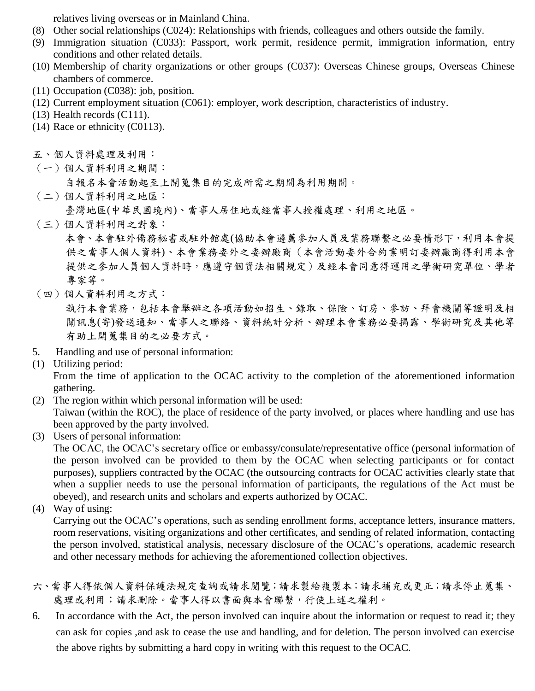relatives living overseas or in Mainland China.

- (8) Other social relationships (C024): Relationships with friends, colleagues and others outside the family.
- (9) Immigration situation (C033): Passport, work permit, residence permit, immigration information, entry conditions and other related details.
- (10) Membership of charity organizations or other groups (C037): Overseas Chinese groups, Overseas Chinese chambers of commerce.
- (11) Occupation (C038): job, position.
- (12) Current employment situation (C061): employer, work description, characteristics of industry.
- (13) Health records (C111).
- (14) Race or ethnicity (C0113).
- 五、個人資料處理及利用:
- (一)個人資料利用之期間:

自報名本會活動起至上開蒐集目的完成所需之期間為利用期間。

(二)個人資料利用之地區:

臺灣地區(中華民國境內)、當事人居住地或經當事人授權處理、利用之地區。

(三)個人資料利用之對象:

 本會、本會駐外僑務秘書或駐外館處(協助本會遴薦參加人員及業務聯繫之必要情形下,利用本會提 供之當事人個人資料)、本會業務委外之委辦廠商(本會活動委外合約業明訂委辦廠商得利用本會 提供之參加人員個人資料時,應遵守個資法相關規定)及經本會同意得運用之學術研究單位、學者 專家等。

(四)個人資料利用之方式:

執行本會業務,包括本會舉辦之各項活動如招生、錄取、保險、訂房、參訪、拜會機關等證明及相 關訊息(寄)發送通知、當事人之聯絡、資料統計分析、辦理本會業務必要揭露、學術研究及其他等 有助上開蒐集目的之必要方式。

- 5. Handling and use of personal information:
- (1) Utilizing period:

From the time of application to the OCAC activity to the completion of the aforementioned information gathering.

- (2) The region within which personal information will be used: Taiwan (within the ROC), the place of residence of the party involved, or places where handling and use has been approved by the party involved.
- (3) Users of personal information:

The OCAC, the OCAC's secretary office or embassy/consulate/representative office (personal information of the person involved can be provided to them by the OCAC when selecting participants or for contact purposes), suppliers contracted by the OCAC (the outsourcing contracts for OCAC activities clearly state that when a supplier needs to use the personal information of participants, the regulations of the Act must be obeyed), and research units and scholars and experts authorized by OCAC.

(4) Way of using:

Carrying out the OCAC's operations, such as sending enrollment forms, acceptance letters, insurance matters, room reservations, visiting organizations and other certificates, and sending of related information, contacting the person involved, statistical analysis, necessary disclosure of the OCAC's operations, academic research and other necessary methods for achieving the aforementioned collection objectives.

- 六、當事人得依個人資料保護法規定查詢或請求閱覽;請求製給複製本;請求補充或更正;請求停止蒐集、 處理或利用;請求刪除。當事人得以書面與本會聯繫,行使上述之權利。
- 6. In accordance with the Act, the person involved can inquire about the information or request to read it; they can ask for copies ,and ask to cease the use and handling, and for deletion. The person involved can exercise the above rights by submitting a hard copy in writing with this request to the OCAC.